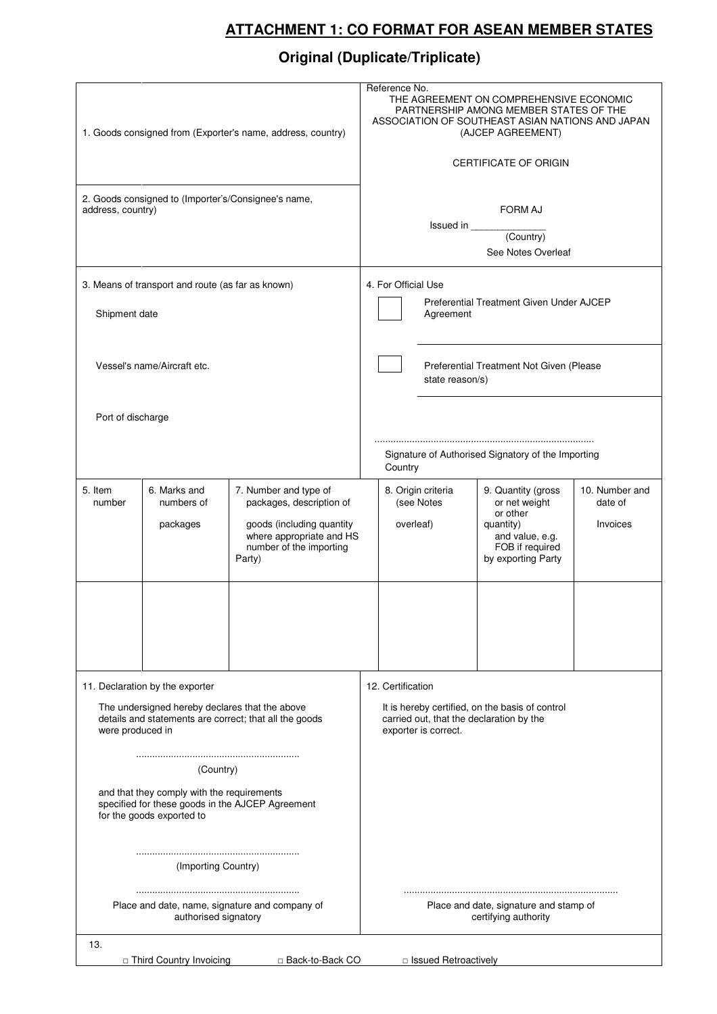## **ATTACHMENT 1: CO FORMAT FOR ASEAN MEMBER STATES**

## **Original (Duplicate/Triplicate)**

|                                                                                                                                                                 | 1. Goods consigned from (Exporter's name, address, country) | Reference No.<br>THE AGREEMENT ON COMPREHENSIVE ECONOMIC<br>PARTNERSHIP AMONG MEMBER STATES OF THE<br>ASSOCIATION OF SOUTHEAST ASIAN NATIONS AND JAPAN<br>(AJCEP AGREEMENT)<br><b>CERTIFICATE OF ORIGIN</b> |                                                                |                                                                                                                                          |                                  |                                                                                                                          |                                       |  |
|-----------------------------------------------------------------------------------------------------------------------------------------------------------------|-------------------------------------------------------------|-------------------------------------------------------------------------------------------------------------------------------------------------------------------------------------------------------------|----------------------------------------------------------------|------------------------------------------------------------------------------------------------------------------------------------------|----------------------------------|--------------------------------------------------------------------------------------------------------------------------|---------------------------------------|--|
| 2. Goods consigned to (Importer's/Consignee's name,<br>address, country)                                                                                        |                                                             |                                                                                                                                                                                                             |                                                                | <b>FORM AJ</b><br>See Notes Overleaf                                                                                                     |                                  |                                                                                                                          |                                       |  |
| 3. Means of transport and route (as far as known)<br>Shipment date                                                                                              |                                                             |                                                                                                                                                                                                             |                                                                | 4. For Official Use<br>Preferential Treatment Given Under AJCEP<br>Agreement                                                             |                                  |                                                                                                                          |                                       |  |
| Vessel's name/Aircraft etc.                                                                                                                                     |                                                             |                                                                                                                                                                                                             |                                                                | Preferential Treatment Not Given (Please<br>state reason/s)                                                                              |                                  |                                                                                                                          |                                       |  |
| Port of discharge                                                                                                                                               |                                                             |                                                                                                                                                                                                             |                                                                | Signature of Authorised Signatory of the Importing<br>Country                                                                            |                                  |                                                                                                                          |                                       |  |
| 5. Item<br>number                                                                                                                                               | 6. Marks and<br>numbers of<br>packages                      | 7. Number and type of<br>packages, description of<br>goods (including quantity<br>where appropriate and HS<br>number of the importing<br>Party)                                                             |                                                                | overleaf)                                                                                                                                | 8. Origin criteria<br>(see Notes | 9. Quantity (gross<br>or net weight<br>or other<br>quantity)<br>and value, e.g.<br>FOB if required<br>by exporting Party | 10. Number and<br>date of<br>Invoices |  |
|                                                                                                                                                                 |                                                             |                                                                                                                                                                                                             |                                                                |                                                                                                                                          |                                  |                                                                                                                          |                                       |  |
| 11. Declaration by the exporter<br>The undersigned hereby declares that the above<br>details and statements are correct; that all the goods<br>were produced in |                                                             |                                                                                                                                                                                                             |                                                                | 12. Certification<br>It is hereby certified, on the basis of control<br>carried out, that the declaration by the<br>exporter is correct. |                                  |                                                                                                                          |                                       |  |
| (Country)<br>and that they comply with the requirements<br>specified for these goods in the AJCEP Agreement<br>for the goods exported to                        |                                                             |                                                                                                                                                                                                             |                                                                |                                                                                                                                          |                                  |                                                                                                                          |                                       |  |
| (Importing Country)                                                                                                                                             |                                                             |                                                                                                                                                                                                             |                                                                |                                                                                                                                          |                                  |                                                                                                                          |                                       |  |
| Place and date, name, signature and company of<br>authorised signatory                                                                                          |                                                             |                                                                                                                                                                                                             | Place and date, signature and stamp of<br>certifying authority |                                                                                                                                          |                                  |                                                                                                                          |                                       |  |
| 13.<br>□ Third Country Invoicing<br>□ Issued Retroactively<br>□ Back-to-Back CO                                                                                 |                                                             |                                                                                                                                                                                                             |                                                                |                                                                                                                                          |                                  |                                                                                                                          |                                       |  |